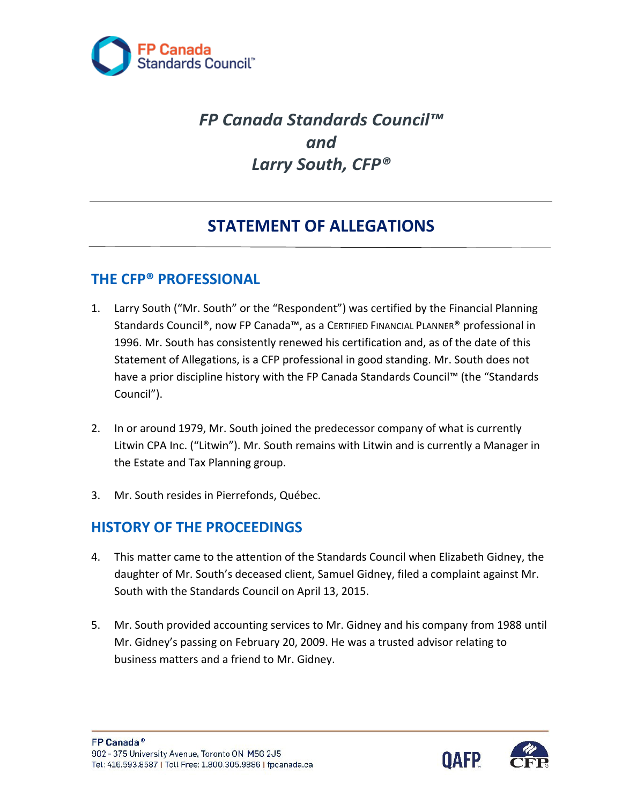

# *FP Canada Standards Council™ and Larry South, CFP®*

# **STATEMENT OF ALLEGATIONS**

#### **THE CFP® PROFESSIONAL**

- 1. Larry South ("Mr. South" or the "Respondent") was certified by the Financial Planning Standards Council®, now FP Canada™, as a CERTIFIED FINANCIAL PLANNER® professional in 1996. Mr. South has consistently renewed his certification and, as of the date of this Statement of Allegations, is a CFP professional in good standing. Mr. South does not have a prior discipline history with the FP Canada Standards Council™ (the "Standards Council").
- 2. In or around 1979, Mr. South joined the predecessor company of what is currently Litwin CPA Inc. ("Litwin"). Mr. South remains with Litwin and is currently a Manager in the Estate and Tax Planning group.
- 3. Mr. South resides in Pierrefonds, Québec.

#### **HISTORY OF THE PROCEEDINGS**

- 4. This matter came to the attention of the Standards Council when Elizabeth Gidney, the daughter of Mr. South's deceased client, Samuel Gidney, filed a complaint against Mr. South with the Standards Council on April 13, 2015.
- 5. Mr. South provided accounting services to Mr. Gidney and his company from 1988 until Mr. Gidney's passing on February 20, 2009. He was a trusted advisor relating to business matters and a friend to Mr. Gidney.

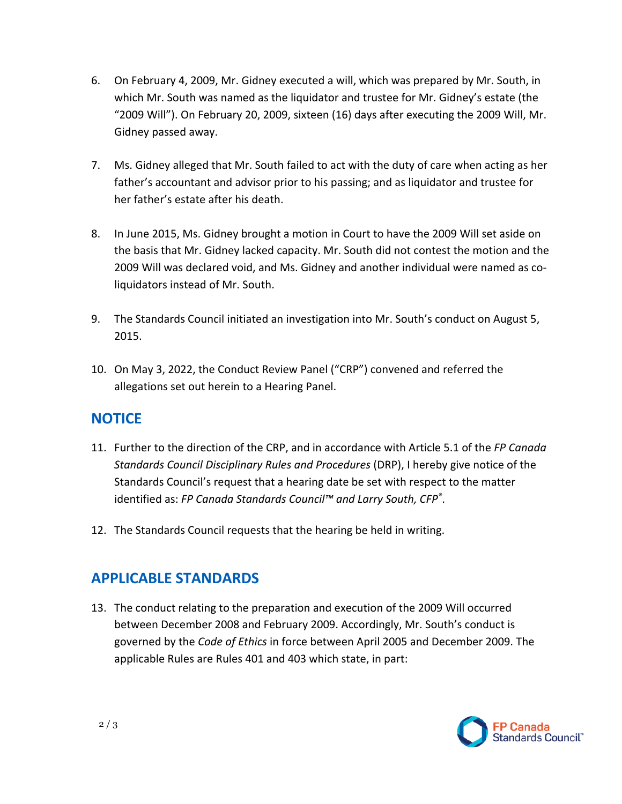- 6. On February 4, 2009, Mr. Gidney executed a will, which was prepared by Mr. South, in which Mr. South was named as the liquidator and trustee for Mr. Gidney's estate (the "2009 Will"). On February 20, 2009, sixteen (16) days after executing the 2009 Will, Mr. Gidney passed away.
- 7. Ms. Gidney alleged that Mr. South failed to act with the duty of care when acting as her father's accountant and advisor prior to his passing; and as liquidator and trustee for her father's estate after his death.
- 8. In June 2015, Ms. Gidney brought a motion in Court to have the 2009 Will set aside on the basis that Mr. Gidney lacked capacity. Mr. South did not contest the motion and the 2009 Will was declared void, and Ms. Gidney and another individual were named as coliquidators instead of Mr. South.
- 9. The Standards Council initiated an investigation into Mr. South's conduct on August 5, 2015.
- 10. On May 3, 2022, the Conduct Review Panel ("CRP") convened and referred the allegations set out herein to a Hearing Panel.

#### **NOTICE**

- 11. Further to the direction of the CRP, and in accordance with Article 5.1 of the *FP Canada Standards Council Disciplinary Rules and Procedures* (DRP), I hereby give notice of the Standards Council's request that a hearing date be set with respect to the matter identified as: *FP Canada Standards Council™ and Larry South, CFP®* .
- 12. The Standards Council requests that the hearing be held in writing.

## **APPLICABLE STANDARDS**

13. The conduct relating to the preparation and execution of the 2009 Will occurred between December 2008 and February 2009. Accordingly, Mr. South's conduct is governed by the *Code of Ethics* in force between April 2005 and December 2009. The applicable Rules are Rules 401 and 403 which state, in part: